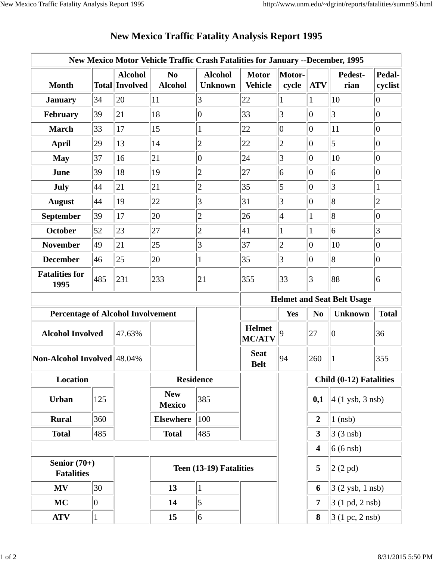|                                          |     |                                         | New Mexico Motor Vehicle Traffic Crash Fatalities for January --December, 1995 |                                  |                                |                                   |                         |                                  |                   |
|------------------------------------------|-----|-----------------------------------------|--------------------------------------------------------------------------------|----------------------------------|--------------------------------|-----------------------------------|-------------------------|----------------------------------|-------------------|
| <b>Month</b>                             |     | <b>Alcohol</b><br><b>Total Involved</b> | N <sub>0</sub><br><b>Alcohol</b>                                               | <b>Alcohol</b><br><b>Unknown</b> | <b>Motor</b><br><b>Vehicle</b> | Motor-<br>cycle                   | <b>ATV</b>              | Pedest-<br>rian                  | Pedal-<br>cyclist |
| <b>January</b>                           | 34  | 20                                      | 11                                                                             | 3                                | 22                             | 1                                 | $\mathbf{1}$            | 10                               | $ 0\rangle$       |
| February                                 | 39  | 21                                      | 18                                                                             | $\overline{0}$                   | 33                             | 3                                 | $\overline{0}$          | 3                                | $ 0\rangle$       |
| <b>March</b>                             | 33  | 17                                      | 15                                                                             | $\mathbf{1}$                     | 22                             | $ 0\rangle$                       | $\overline{0}$          | 11                               | $\overline{0}$    |
| <b>April</b>                             | 29  | 13                                      | 14                                                                             | $\overline{c}$                   | 22                             | $\overline{c}$                    | $\overline{0}$          | 5                                | $\overline{0}$    |
| <b>May</b>                               | 37  | 16                                      | 21                                                                             | $\overline{0}$                   | 24                             | 3                                 | $ 0\rangle$             | 10                               | $ 0\rangle$       |
| June                                     | 39  | 18                                      | 19                                                                             | $\overline{2}$                   | 27                             | 6                                 | $\overline{0}$          | 6                                | $ 0\rangle$       |
| <b>July</b>                              | 44  | 21                                      | 21                                                                             | $\overline{2}$                   | 35                             | $\overline{5}$                    | $ 0\rangle$             | 3                                | 1                 |
| <b>August</b>                            | 44  | 19                                      | 22                                                                             | 3                                | 31                             | 3                                 | $\overline{0}$          | 8                                | $\mathbf{2}$      |
| September                                | 39  | 17                                      | 20                                                                             | $\overline{c}$                   | 26                             | $\overline{4}$                    | $\mathbf{1}$            | 8                                | $\overline{0}$    |
| <b>October</b>                           | 52  | 23                                      | 27                                                                             | $\overline{c}$                   | 41                             | $\mathbf{1}$                      | 1                       | 6                                | 3                 |
| <b>November</b>                          | 49  | 21                                      | 25                                                                             | 3                                | 37                             | $\overline{c}$                    | $\overline{0}$          | 10                               | $ 0\rangle$       |
| <b>December</b>                          | 46  | 25                                      | 20                                                                             | $\mathbf{1}$                     | 35                             | 3                                 | $ 0\rangle$             | $\overline{8}$                   | $ 0\rangle$       |
| <b>Fatalities for</b><br>1995            | 485 | 231                                     | 233                                                                            | 21                               | 355                            | 33                                | 3                       | 88                               | 6                 |
|                                          |     |                                         |                                                                                |                                  |                                | <b>Helmet and Seat Belt Usage</b> |                         |                                  |                   |
| <b>Percentage of Alcohol Involvement</b> |     |                                         |                                                                                |                                  |                                | Yes                               | N <sub>o</sub>          | <b>Unknown</b>                   | <b>Total</b>      |
| <b>Alcohol Involved</b>                  |     | 47.63%                                  |                                                                                |                                  | <b>Helmet</b><br><b>MC/ATV</b> | 9                                 | 27                      | $\boldsymbol{0}$                 | 36                |
| Non-Alcohol Involved 48.04%              |     |                                         |                                                                                |                                  | <b>Seat</b><br><b>Belt</b>     | 94                                | 260                     |                                  | 355               |
| Location                                 |     |                                         | <b>Residence</b>                                                               |                                  |                                |                                   | Child (0-12) Fatalities |                                  |                   |
| Urban                                    | 125 |                                         | <b>New</b><br><b>Mexico</b>                                                    | 385                              |                                |                                   | 0,1                     | $4(1$ ysb, 3 nsb)                |                   |
| <b>Rural</b>                             | 360 |                                         | <b>Elsewhere</b>                                                               | 100                              |                                |                                   | $\overline{2}$          | $1$ (nsb)                        |                   |
| <b>Total</b>                             | 485 |                                         | <b>Total</b>                                                                   | 485                              |                                |                                   | $\mathbf{3}$            | $3(3$ nsb)                       |                   |
|                                          |     |                                         |                                                                                |                                  |                                |                                   | 4                       | $6(6$ nsb)                       |                   |
| Senior $(70+)$<br><b>Fatalities</b>      |     |                                         | Teen (13-19) Fatalities                                                        |                                  |                                |                                   | 5                       | 2(2pd)                           |                   |
| <b>MV</b>                                | 30  |                                         | 13                                                                             | $\vert$ 1                        |                                |                                   | 6                       | $3(2$ ysb, 1 nsb)                |                   |
| <b>MC</b>                                | 0   |                                         | 14                                                                             | 5                                |                                |                                   | $\overline{7}$          | $3(1 \text{ pd}, 2 \text{ nsb})$ |                   |
| <b>ATV</b>                               |     |                                         | 15                                                                             | 6                                |                                |                                   | 8                       | 3 (1 pc, 2 nsb)                  |                   |

## **New Mexico Traffic Fatality Analysis Report 1995**